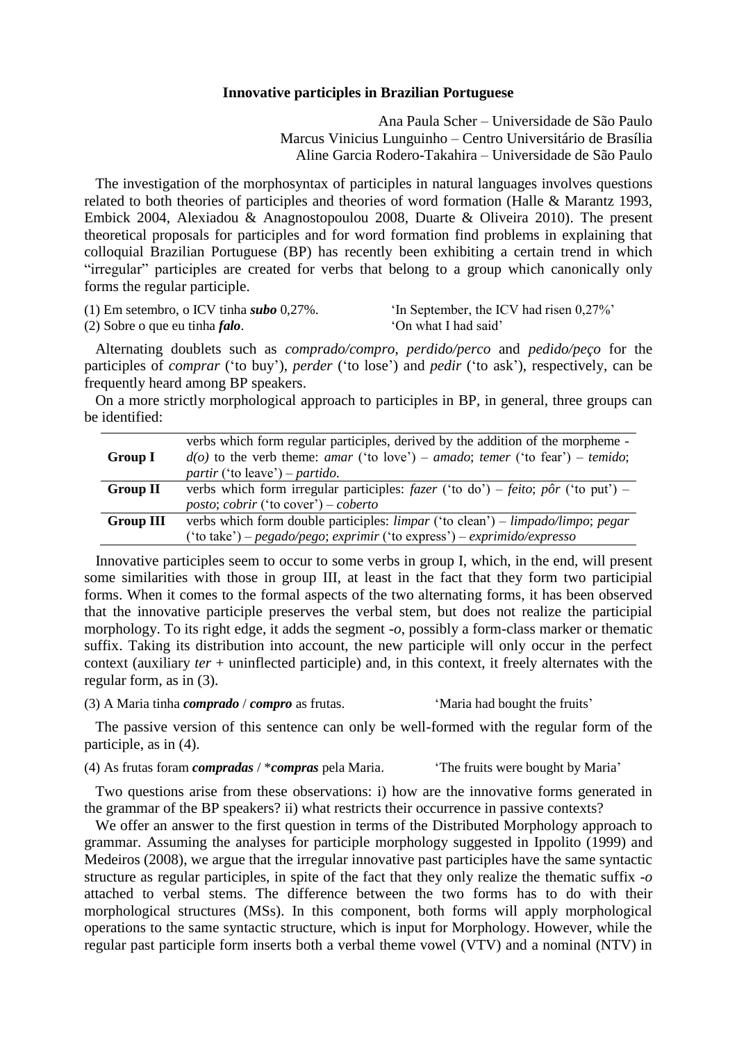## **Innovative participles in Brazilian Portuguese**

Ana Paula Scher – Universidade de São Paulo Marcus Vinicius Lunguinho – Centro Universitário de Brasília Aline Garcia Rodero-Takahira – Universidade de São Paulo

 The investigation of the morphosyntax of participles in natural languages involves questions related to both theories of participles and theories of word formation (Halle & Marantz 1993, Embick 2004, Alexiadou & Anagnostopoulou 2008, Duarte & Oliveira 2010). The present theoretical proposals for participles and for word formation find problems in explaining that colloquial Brazilian Portuguese (BP) has recently been exhibiting a certain trend in which "irregular" participles are created for verbs that belong to a group which canonically only forms the regular participle.

| (1) Em setembro, o ICV tinha subo $0.27\%$ . | 'In September, the ICV had risen 0,27%' |
|----------------------------------------------|-----------------------------------------|
| $(2)$ Sobre o que eu tinha <i>falo</i> .     | 'On what I had said'                    |

 Alternating doublets such as *comprado/compro*, *perdido/perco* and *pedido/peço* for the participles of *comprar* ("to buy"), *perder* ("to lose") and *pedir* ("to ask"), respectively, can be frequently heard among BP speakers.

 On a more strictly morphological approach to participles in BP, in general, three groups can be identified:

|                  | verbs which form regular participles, derived by the addition of the morpheme -                                            |
|------------------|----------------------------------------------------------------------------------------------------------------------------|
| Group I          | $d(o)$ to the verb theme: amar ('to love') – amado; temer ('to fear') – temido;                                            |
|                  | partir ('to leave') – partido.                                                                                             |
| <b>Group II</b>  | verbs which form irregular participles: $fazer$ ('to do') – feito; pôr ('to put') –                                        |
|                  | <i>posto; cobrir</i> ('to cover') – <i>coberto</i>                                                                         |
| <b>Group III</b> | verbs which form double participles: $\lim_{\text{par}}$ ('to clean') – $\lim_{\text{pad}}$ o/ $\lim_{\text{por}}$ ; pegar |
|                  | ('to take') – pegado/pego; exprimir ('to express') – exprimido/expresso                                                    |

 Innovative participles seem to occur to some verbs in group I, which, in the end, will present some similarities with those in group III, at least in the fact that they form two participial forms. When it comes to the formal aspects of the two alternating forms, it has been observed that the innovative participle preserves the verbal stem, but does not realize the participial morphology. To its right edge, it adds the segment *-o*, possibly a form-class marker or thematic suffix. Taking its distribution into account, the new participle will only occur in the perfect context (auxiliary *ter* + uninflected participle) and, in this context, it freely alternates with the regular form, as in (3).

(3) A Maria tinha *comprado* / *compro* as frutas. "Maria had bought the fruits"

 The passive version of this sentence can only be well-formed with the regular form of the participle, as in (4).

(4) As frutas foram *compradas* / \**compras* pela Maria. "The fruits were bought by Maria"

 Two questions arise from these observations: i) how are the innovative forms generated in the grammar of the BP speakers? ii) what restricts their occurrence in passive contexts?

We offer an answer to the first question in terms of the Distributed Morphology approach to grammar. Assuming the analyses for participle morphology suggested in Ippolito (1999) and Medeiros (2008), we argue that the irregular innovative past participles have the same syntactic structure as regular participles, in spite of the fact that they only realize the thematic suffix *-o* attached to verbal stems. The difference between the two forms has to do with their morphological structures (MSs). In this component, both forms will apply morphological operations to the same syntactic structure, which is input for Morphology. However, while the regular past participle form inserts both a verbal theme vowel (VTV) and a nominal (NTV) in